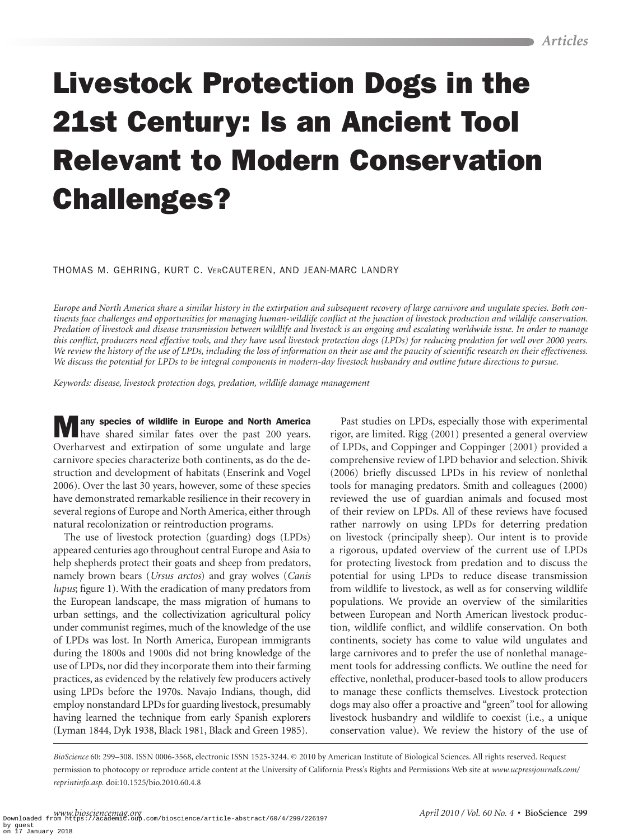# Livestock Protection Dogs in the 21st Century: Is an Ancient Tool Relevant to Modern Conservation Challenges?

Thomas M. Gehring, Kurt C. VerCauteren, and Jean-Marc Landry

*Europe and North America share a similar history in the extirpation and subsequent recovery of large carnivore and ungulate species. Both continents face challenges and opportunities for managing human-wildlife conflict at the junction of livestock production and wildlife conservation. Predation of livestock and disease transmission between wildlife and livestock is an ongoing and escalating worldwide issue. In order to manage this conflict, producers need effective tools, and they have used livestock protection dogs (LPDs) for reducing predation for well over 2000 years. We review the history of the use of LPDs, including the loss of information on their use and the paucity of scientific research on their effectiveness. We discuss the potential for LPDs to be integral components in modern-day livestock husbandry and outline future directions to pursue.*

*Keywords: disease, livestock protection dogs, predation, wildlife damage management*

Many species of wildlife in Europe and North America have shared similar fates over the past 200 years. Overharvest and extirpation of some ungulate and large carnivore species characterize both continents, as do the destruction and development of habitats (Enserink and Vogel 2006). Over the last 30 years, however, some of these species have demonstrated remarkable resilience in their recovery in several regions of Europe and North America, either through natural recolonization or reintroduction programs.

The use of livestock protection (guarding) dogs (LPDs) appeared centuries ago throughout central Europe and Asia to help shepherds protect their goats and sheep from predators, namely brown bears (*Ursus arctos*) and gray wolves (*Canis lupus*; figure 1). With the eradication of many predators from the European landscape, the mass migration of humans to urban settings, and the collectivization agricultural policy under communist regimes, much of the knowledge of the use of LPDs was lost. In North America, European immigrants during the 1800s and 1900s did not bring knowledge of the use of LPDs, nor did they incorporate them into their farming practices, as evidenced by the relatively few producers actively using LPDs before the 1970s. Navajo Indians, though, did employ nonstandard LPDs for guarding livestock, presumably having learned the technique from early Spanish explorers (Lyman 1844, Dyk 1938, Black 1981, Black and Green 1985).

Past studies on LPDs, especially those with experimental rigor, are limited. Rigg (2001) presented a general overview of LPDs, and Coppinger and Coppinger (2001) provided a comprehensive review of LPD behavior and selection. Shivik (2006) briefly discussed LPDs in his review of nonlethal tools for managing predators. Smith and colleagues (2000) reviewed the use of guardian animals and focused most of their review on LPDs. All of these reviews have focused rather narrowly on using LPDs for deterring predation on livestock (principally sheep). Our intent is to provide a rigorous, updated overview of the current use of LPDs for protecting livestock from predation and to discuss the potential for using LPDs to reduce disease transmission from wildlife to livestock, as well as for conserving wildlife populations. We provide an overview of the similarities between European and North American livestock production, wildlife conflict, and wildlife conservation. On both continents, society has come to value wild ungulates and large carnivores and to prefer the use of nonlethal management tools for addressing conflicts. We outline the need for effective, nonlethal, producer-based tools to allow producers to manage these conflicts themselves*.* Livestock protection dogs may also offer a proactive and "green" tool for allowing livestock husbandry and wildlife to coexist (i.e., a unique conservation value). We review the history of the use of

*BioScience* 60: 299–308. ISSN 0006-3568, electronic ISSN 1525-3244. © 2010 by American Institute of Biological Sciences. All rights reserved. Request permission to photocopy or reproduce article content at the University of California Press's Rights and Permissions Web site at *www.ucpressjournals.com/ reprintinfo.asp.* doi:10.1525/bio.2010.60.4.8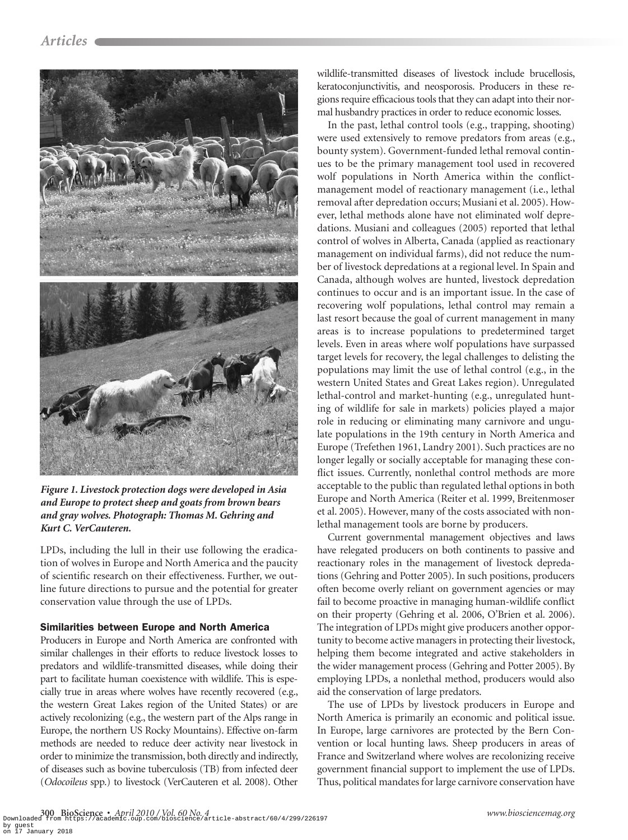

*Figure 1. Livestock protection dogs were developed in Asia and Europe to protect sheep and goats from brown bears and gray wolves. Photograph: Thomas M. Gehring and Kurt C. VerCauteren.*

LPDs, including the lull in their use following the eradication of wolves in Europe and North America and the paucity of scientific research on their effectiveness. Further, we outline future directions to pursue and the potential for greater conservation value through the use of LPDs.

### Similarities between Europe and North America

Producers in Europe and North America are confronted with similar challenges in their efforts to reduce livestock losses to predators and wildlife-transmitted diseases, while doing their part to facilitate human coexistence with wildlife. This is especially true in areas where wolves have recently recovered (e.g., the western Great Lakes region of the United States) or are actively recolonizing (e.g., the western part of the Alps range in Europe, the northern US Rocky Mountains). Effective on-farm methods are needed to reduce deer activity near livestock in order to minimize the transmission, both directly and indirectly, of diseases such as bovine tuberculosis (TB) from infected deer (*Odocoileus* spp.) to livestock (VerCauteren et al. 2008). Other

wildlife-transmitted diseases of livestock include brucellosis, keratoconjunctivitis, and neosporosis. Producers in these regions require efficacious tools that they can adapt into their normal husbandry practices in order to reduce economic losses.

In the past, lethal control tools (e.g., trapping, shooting) were used extensively to remove predators from areas (e.g., bounty system). Government-funded lethal removal continues to be the primary management tool used in recovered wolf populations in North America within the conflictmanagement model of reactionary management (i.e., lethal removal after depredation occurs; Musiani et al. 2005). However, lethal methods alone have not eliminated wolf depredations. Musiani and colleagues (2005) reported that lethal control of wolves in Alberta, Canada (applied as reactionary management on individual farms), did not reduce the number of livestock depredations at a regional level. In Spain and Canada, although wolves are hunted, livestock depredation continues to occur and is an important issue. In the case of recovering wolf populations, lethal control may remain a last resort because the goal of current management in many areas is to increase populations to predetermined target levels. Even in areas where wolf populations have surpassed target levels for recovery, the legal challenges to delisting the populations may limit the use of lethal control (e.g., in the western United States and Great Lakes region). Unregulated lethal-control and market-hunting (e.g., unregulated hunting of wildlife for sale in markets) policies played a major role in reducing or eliminating many carnivore and ungulate populations in the 19th century in North America and Europe (Trefethen 1961, Landry 2001). Such practices are no longer legally or socially acceptable for managing these conflict issues. Currently, nonlethal control methods are more acceptable to the public than regulated lethal options in both Europe and North America (Reiter et al. 1999, Breitenmoser et al. 2005). However, many of the costs associated with nonlethal management tools are borne by producers.

Current governmental management objectives and laws have relegated producers on both continents to passive and reactionary roles in the management of livestock depredations (Gehring and Potter 2005). In such positions, producers often become overly reliant on government agencies or may fail to become proactive in managing human-wildlife conflict on their property (Gehring et al. 2006, O'Brien et al. 2006). The integration of LPDs might give producers another opportunity to become active managers in protecting their livestock, helping them become integrated and active stakeholders in the wider management process (Gehring and Potter 2005). By employing LPDs, a nonlethal method, producers would also aid the conservation of large predators.

The use of LPDs by livestock producers in Europe and North America is primarily an economic and political issue. In Europe, large carnivores are protected by the Bern Convention or local hunting laws. Sheep producers in areas of France and Switzerland where wolves are recolonizing receive government financial support to implement the use of LPDs. Thus, political mandates for large carnivore conservation have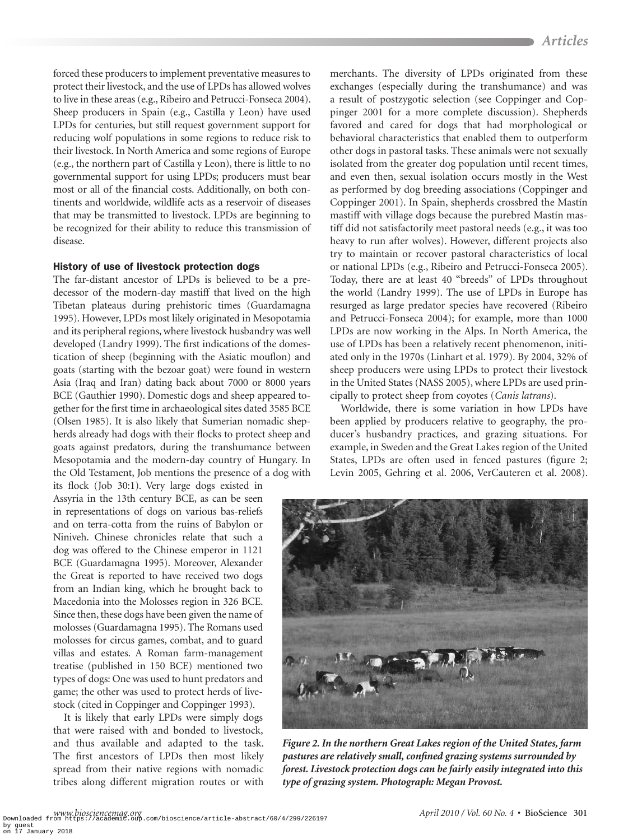forced these producers to implement preventative measures to protect their livestock, and the use of LPDs has allowed wolves to live in these areas (e.g., Ribeiro and Petrucci-Fonseca 2004). Sheep producers in Spain (e.g., Castilla y Leon) have used LPDs for centuries, but still request government support for reducing wolf populations in some regions to reduce risk to their livestock. In North America and some regions of Europe (e.g., the northern part of Castilla y Leon), there is little to no governmental support for using LPDs; producers must bear most or all of the financial costs. Additionally, on both continents and worldwide, wildlife acts as a reservoir of diseases that may be transmitted to livestock. LPDs are beginning to be recognized for their ability to reduce this transmission of disease.

#### History of use of livestock protection dogs

The far-distant ancestor of LPDs is believed to be a predecessor of the modern-day mastiff that lived on the high Tibetan plateaus during prehistoric times (Guardamagna 1995). However, LPDs most likely originated in Mesopotamia and its peripheral regions, where livestock husbandry was well developed (Landry 1999). The first indications of the domestication of sheep (beginning with the Asiatic mouflon) and goats (starting with the bezoar goat) were found in western Asia (Iraq and Iran) dating back about 7000 or 8000 years BCE (Gauthier 1990). Domestic dogs and sheep appeared together for the first time in archaeological sites dated 3585 BCE (Olsen 1985). It is also likely that Sumerian nomadic shepherds already had dogs with their flocks to protect sheep and goats against predators, during the transhumance between Mesopotamia and the modern-day country of Hungary. In the Old Testament, Job mentions the presence of a dog with

its flock (Job 30:1). Very large dogs existed in Assyria in the 13th century BCE, as can be seen in representations of dogs on various bas-reliefs and on terra-cotta from the ruins of Babylon or Niniveh. Chinese chronicles relate that such a dog was offered to the Chinese emperor in 1121 BCE (Guardamagna 1995). Moreover, Alexander the Great is reported to have received two dogs from an Indian king, which he brought back to Macedonia into the Molosses region in 326 BCE. Since then, these dogs have been given the name of molosses (Guardamagna 1995). The Romans used molosses for circus games, combat, and to guard villas and estates. A Roman farm-management treatise (published in 150 BCE) mentioned two types of dogs: One was used to hunt predators and game; the other was used to protect herds of livestock (cited in Coppinger and Coppinger 1993).

It is likely that early LPDs were simply dogs that were raised with and bonded to livestock, and thus available and adapted to the task. The first ancestors of LPDs then most likely spread from their native regions with nomadic tribes along different migration routes or with

merchants. The diversity of LPDs originated from these exchanges (especially during the transhumance) and was a result of postzygotic selection (see Coppinger and Coppinger 2001 for a more complete discussion). Shepherds favored and cared for dogs that had morphological or behavioral characteristics that enabled them to outperform other dogs in pastoral tasks. These animals were not sexually isolated from the greater dog population until recent times, and even then, sexual isolation occurs mostly in the West as performed by dog breeding associations (Coppinger and Coppinger 2001). In Spain, shepherds crossbred the Mastín mastiff with village dogs because the purebred Mastín mastiff did not satisfactorily meet pastoral needs (e.g., it was too heavy to run after wolves). However, different projects also try to maintain or recover pastoral characteristics of local or national LPDs (e.g., Ribeiro and Petrucci-Fonseca 2005). Today, there are at least 40 "breeds" of LPDs throughout the world (Landry 1999). The use of LPDs in Europe has resurged as large predator species have recovered (Ribeiro and Petrucci-Fonseca 2004); for example, more than 1000 LPDs are now working in the Alps. In North America, the use of LPDs has been a relatively recent phenomenon, initiated only in the 1970s (Linhart et al. 1979). By 2004, 32% of sheep producers were using LPDs to protect their livestock in the United States (NASS 2005), where LPDs are used principally to protect sheep from coyotes (*Canis latrans*).

Worldwide, there is some variation in how LPDs have been applied by producers relative to geography, the producer's husbandry practices, and grazing situations. For example, in Sweden and the Great Lakes region of the United States, LPDs are often used in fenced pastures (figure 2; Levin 2005, Gehring et al. 2006, VerCauteren et al. 2008).



*Figure 2. In the northern Great Lakes region of the United States, farm pastures are relatively small, confined grazing systems surrounded by forest. Livestock protection dogs can be fairly easily integrated into this type of grazing system. Photograph: Megan Provost.*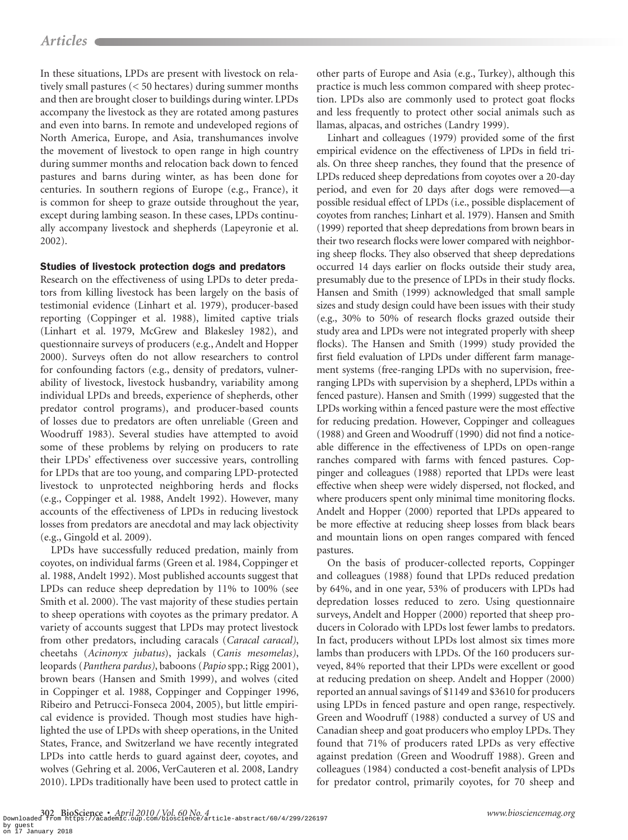In these situations, LPDs are present with livestock on relatively small pastures (< 50 hectares) during summer months and then are brought closer to buildings during winter. LPDs accompany the livestock as they are rotated among pastures and even into barns. In remote and undeveloped regions of North America, Europe, and Asia, transhumances involve the movement of livestock to open range in high country during summer months and relocation back down to fenced pastures and barns during winter, as has been done for centuries. In southern regions of Europe (e.g., France), it is common for sheep to graze outside throughout the year, except during lambing season. In these cases, LPDs continually accompany livestock and shepherds (Lapeyronie et al. 2002).

## Studies of livestock protection dogs and predators

Research on the effectiveness of using LPDs to deter predators from killing livestock has been largely on the basis of testimonial evidence (Linhart et al. 1979), producer-based reporting (Coppinger et al. 1988), limited captive trials (Linhart et al. 1979, McGrew and Blakesley 1982), and questionnaire surveys of producers (e.g., Andelt and Hopper 2000). Surveys often do not allow researchers to control for confounding factors (e.g., density of predators, vulnerability of livestock, livestock husbandry, variability among individual LPDs and breeds, experience of shepherds, other predator control programs), and producer-based counts of losses due to predators are often unreliable (Green and Woodruff 1983). Several studies have attempted to avoid some of these problems by relying on producers to rate their LPDs' effectiveness over successive years, controlling for LPDs that are too young, and comparing LPD-protected livestock to unprotected neighboring herds and flocks (e.g., Coppinger et al. 1988, Andelt 1992). However, many accounts of the effectiveness of LPDs in reducing livestock losses from predators are anecdotal and may lack objectivity (e.g., Gingold et al. 2009).

LPDs have successfully reduced predation, mainly from coyotes, on individual farms (Green et al. 1984, Coppinger et al. 1988, Andelt 1992). Most published accounts suggest that LPDs can reduce sheep depredation by 11% to 100% (see Smith et al. 2000). The vast majority of these studies pertain to sheep operations with coyotes as the primary predator. A variety of accounts suggest that LPDs may protect livestock from other predators, including caracals (*Caracal caracal)*, cheetahs (*Acinonyx jubatus*), jackals (*Canis mesomelas)*, leopards (*Panthera pardus)*, baboons (*Papio* spp.; Rigg 2001), brown bears (Hansen and Smith 1999), and wolves (cited in Coppinger et al. 1988, Coppinger and Coppinger 1996, Ribeiro and Petrucci-Fonseca 2004, 2005), but little empirical evidence is provided. Though most studies have highlighted the use of LPDs with sheep operations, in the United States, France, and Switzerland we have recently integrated LPDs into cattle herds to guard against deer, coyotes, and wolves (Gehring et al. 2006, VerCauteren et al. 2008, Landry 2010). LPDs traditionally have been used to protect cattle in other parts of Europe and Asia (e.g., Turkey), although this practice is much less common compared with sheep protection. LPDs also are commonly used to protect goat flocks and less frequently to protect other social animals such as llamas, alpacas, and ostriches (Landry 1999).

Linhart and colleagues (1979) provided some of the first empirical evidence on the effectiveness of LPDs in field trials. On three sheep ranches, they found that the presence of LPDs reduced sheep depredations from coyotes over a 20-day period, and even for 20 days after dogs were removed––a possible residual effect of LPDs (i.e., possible displacement of coyotes from ranches; Linhart et al. 1979). Hansen and Smith (1999) reported that sheep depredations from brown bears in their two research flocks were lower compared with neighboring sheep flocks. They also observed that sheep depredations occurred 14 days earlier on flocks outside their study area, presumably due to the presence of LPDs in their study flocks. Hansen and Smith (1999) acknowledged that small sample sizes and study design could have been issues with their study (e.g., 30% to 50% of research flocks grazed outside their study area and LPDs were not integrated properly with sheep flocks). The Hansen and Smith (1999) study provided the first field evaluation of LPDs under different farm management systems (free-ranging LPDs with no supervision, freeranging LPDs with supervision by a shepherd, LPDs within a fenced pasture). Hansen and Smith (1999) suggested that the LPDs working within a fenced pasture were the most effective for reducing predation. However, Coppinger and colleagues (1988) and Green and Woodruff (1990) did not find a noticeable difference in the effectiveness of LPDs on open-range ranches compared with farms with fenced pastures. Coppinger and colleagues (1988) reported that LPDs were least effective when sheep were widely dispersed, not flocked, and where producers spent only minimal time monitoring flocks. Andelt and Hopper (2000) reported that LPDs appeared to be more effective at reducing sheep losses from black bears and mountain lions on open ranges compared with fenced pastures.

On the basis of producer-collected reports, Coppinger and colleagues (1988) found that LPDs reduced predation by 64%, and in one year, 53% of producers with LPDs had depredation losses reduced to zero. Using questionnaire surveys, Andelt and Hopper (2000) reported that sheep producers in Colorado with LPDs lost fewer lambs to predators. In fact, producers without LPDs lost almost six times more lambs than producers with LPDs. Of the 160 producers surveyed, 84% reported that their LPDs were excellent or good at reducing predation on sheep. Andelt and Hopper (2000) reported an annual savings of \$1149 and \$3610 for producers using LPDs in fenced pasture and open range, respectively. Green and Woodruff (1988) conducted a survey of US and Canadian sheep and goat producers who employ LPDs. They found that 71% of producers rated LPDs as very effective against predation (Green and Woodruff 1988). Green and colleagues (1984) conducted a cost-benefit analysis of LPDs for predator control, primarily coyotes, for 70 sheep and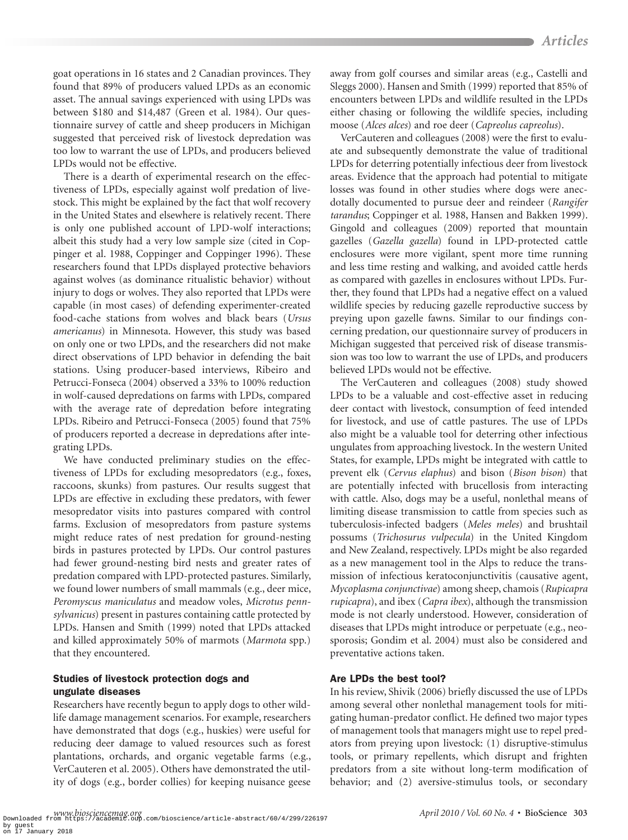goat operations in 16 states and 2 Canadian provinces. They found that 89% of producers valued LPDs as an economic asset. The annual savings experienced with using LPDs was between \$180 and \$14,487 (Green et al. 1984). Our questionnaire survey of cattle and sheep producers in Michigan suggested that perceived risk of livestock depredation was too low to warrant the use of LPDs, and producers believed LPDs would not be effective.

There is a dearth of experimental research on the effectiveness of LPDs, especially against wolf predation of livestock. This might be explained by the fact that wolf recovery in the United States and elsewhere is relatively recent. There is only one published account of LPD-wolf interactions; albeit this study had a very low sample size (cited in Coppinger et al. 1988, Coppinger and Coppinger 1996). These researchers found that LPDs displayed protective behaviors against wolves (as dominance ritualistic behavior) without injury to dogs or wolves. They also reported that LPDs were capable (in most cases) of defending experimenter-created food-cache stations from wolves and black bears (*Ursus americanus*) in Minnesota. However, this study was based on only one or two LPDs, and the researchers did not make direct observations of LPD behavior in defending the bait stations. Using producer-based interviews, Ribeiro and Petrucci-Fonseca (2004) observed a 33% to 100% reduction in wolf-caused depredations on farms with LPDs, compared with the average rate of depredation before integrating LPDs. Ribeiro and Petrucci-Fonseca (2005) found that 75% of producers reported a decrease in depredations after integrating LPDs.

We have conducted preliminary studies on the effectiveness of LPDs for excluding mesopredators (e.g., foxes, raccoons, skunks) from pastures. Our results suggest that LPDs are effective in excluding these predators, with fewer mesopredator visits into pastures compared with control farms. Exclusion of mesopredators from pasture systems might reduce rates of nest predation for ground-nesting birds in pastures protected by LPDs. Our control pastures had fewer ground-nesting bird nests and greater rates of predation compared with LPD-protected pastures. Similarly, we found lower numbers of small mammals (e.g., deer mice, *Peromyscus maniculatus* and meadow voles, *Microtus pennsylvanicus*) present in pastures containing cattle protected by LPDs. Hansen and Smith (1999) noted that LPDs attacked and killed approximately 50% of marmots (*Marmota* spp.) that they encountered.

### Studies of livestock protection dogs and ungulate diseases

Researchers have recently begun to apply dogs to other wildlife damage management scenarios. For example, researchers have demonstrated that dogs (e.g., huskies) were useful for reducing deer damage to valued resources such as forest plantations, orchards, and organic vegetable farms (e.g., VerCauteren et al. 2005). Others have demonstrated the utility of dogs (e.g., border collies) for keeping nuisance geese away from golf courses and similar areas (e.g., Castelli and Sleggs 2000). Hansen and Smith (1999) reported that 85% of encounters between LPDs and wildlife resulted in the LPDs either chasing or following the wildlife species, including moose (*Alces alces*) and roe deer (*Capreolus capreolus*).

VerCauteren and colleagues (2008) were the first to evaluate and subsequently demonstrate the value of traditional LPDs for deterring potentially infectious deer from livestock areas. Evidence that the approach had potential to mitigate losses was found in other studies where dogs were anecdotally documented to pursue deer and reindeer (*Rangifer tarandus*; Coppinger et al. 1988, Hansen and Bakken 1999). Gingold and colleagues (2009) reported that mountain gazelles (*Gazella gazella*) found in LPD-protected cattle enclosures were more vigilant, spent more time running and less time resting and walking, and avoided cattle herds as compared with gazelles in enclosures without LPDs. Further, they found that LPDs had a negative effect on a valued wildlife species by reducing gazelle reproductive success by preying upon gazelle fawns. Similar to our findings concerning predation, our questionnaire survey of producers in Michigan suggested that perceived risk of disease transmission was too low to warrant the use of LPDs, and producers believed LPDs would not be effective.

The VerCauteren and colleagues (2008) study showed LPDs to be a valuable and cost-effective asset in reducing deer contact with livestock, consumption of feed intended for livestock, and use of cattle pastures. The use of LPDs also might be a valuable tool for deterring other infectious ungulates from approaching livestock. In the western United States, for example, LPDs might be integrated with cattle to prevent elk (*Cervus elaphus*) and bison (*Bison bison*) that are potentially infected with brucellosis from interacting with cattle. Also, dogs may be a useful, nonlethal means of limiting disease transmission to cattle from species such as tuberculosis-infected badgers (*Meles meles*) and brushtail possums (*Trichosurus vulpecula*) in the United Kingdom and New Zealand, respectively. LPDs might be also regarded as a new management tool in the Alps to reduce the transmission of infectious keratoconjunctivitis (causative agent, *Mycoplasma conjunctivae*) among sheep, chamois (*Rupicapra rupicapra*), and ibex (*Capra ibex*), although the transmission mode is not clearly understood. However, consideration of diseases that LPDs might introduce or perpetuate (e.g., neosporosis; Gondim et al. 2004) must also be considered and preventative actions taken.

### Are LPDs the best tool?

In his review, Shivik (2006) briefly discussed the use of LPDs among several other nonlethal management tools for mitigating human-predator conflict. He defined two major types of management tools that managers might use to repel predators from preying upon livestock: (1) disruptive-stimulus tools, or primary repellents, which disrupt and frighten predators from a site without long-term modification of behavior; and (2) aversive-stimulus tools, or secondary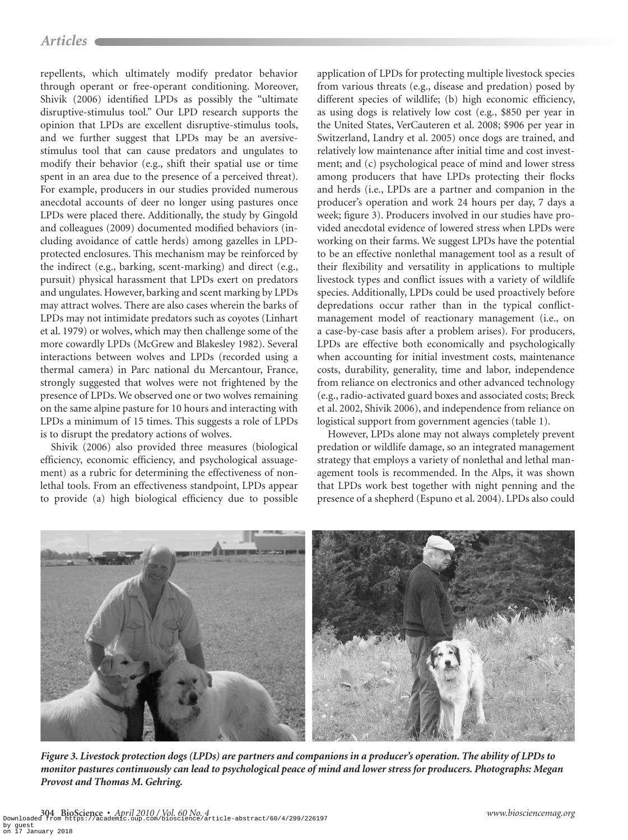repellents, which ultimately modify predator behavior through operant or free-operant conditioning. Moreover, Shivik (2006) identified LPDs as possibly the "ultimate disruptive-stimulus tool." Our LPD research supports the opinion that LPDs are excellent disruptive-stimulus tools, and we further suggest that LPDs may be an aversivestimulus tool that can cause predators and ungulates to modify their behavior (e.g., shift their spatial use or time spent in an area due to the presence of a perceived threat). For example, producers in our studies provided numerous anecdotal accounts of deer no longer using pastures once LPDs were placed there. Additionally, the study by Gingold and colleagues (2009) documented modified behaviors (including avoidance of cattle herds) among gazelles in LPDprotected enclosures. This mechanism may be reinforced by the indirect (e.g., barking, scent-marking) and direct (e.g., pursuit) physical harassment that LPDs exert on predators and ungulates. However, barking and scent marking by LPDs may attract wolves. There are also cases wherein the barks of LPDs may not intimidate predators such as coyotes (Linhart et al. 1979) or wolves, which may then challenge some of the more cowardly LPDs (McGrew and Blakesley 1982). Several interactions between wolves and LPDs (recorded using a thermal camera) in Parc national du Mercantour, France, strongly suggested that wolves were not frightened by the presence of LPDs. We observed one or two wolves remaining on the same alpine pasture for 10 hours and interacting with LPDs a minimum of 15 times. This suggests a role of LPDs is to disrupt the predatory actions of wolves.

Shivik (2006) also provided three measures (biological efficiency, economic efficiency, and psychological assuagement) as a rubric for determining the effectiveness of nonlethal tools. From an effectiveness standpoint, LPDs appear to provide (a) high biological efficiency due to possible

application of LPDs for protecting multiple livestock species from various threats (e.g., disease and predation) posed by different species of wildlife; (b) high economic efficiency, as using dogs is relatively low cost (e.g., \$850 per year in the United States, VerCauteren et al. 2008; \$906 per year in Switzerland, Landry et al. 2005) once dogs are trained, and relatively low maintenance after initial time and cost investment; and (c) psychological peace of mind and lower stress among producers that have LPDs protecting their flocks and herds (i.e., LPDs are a partner and companion in the producer's operation and work 24 hours per day, 7 days a week; figure 3). Producers involved in our studies have provided anecdotal evidence of lowered stress when LPDs were working on their farms. We suggest LPDs have the potential to be an effective nonlethal management tool as a result of their flexibility and versatility in applications to multiple livestock types and conflict issues with a variety of wildlife species. Additionally, LPDs could be used proactively before depredations occur rather than in the typical conflictmanagement model of reactionary management (i.e., on a case-by-case basis after a problem arises). For producers, LPDs are effective both economically and psychologically when accounting for initial investment costs, maintenance costs, durability, generality, time and labor, independence from reliance on electronics and other advanced technology (e.g., radio-activated guard boxes and associated costs; Breck et al. 2002, Shivik 2006), and independence from reliance on logistical support from government agencies (table 1).

However, LPDs alone may not always completely prevent predation or wildlife damage, so an integrated management strategy that employs a variety of nonlethal and lethal management tools is recommended. In the Alps, it was shown that LPDs work best together with night penning and the presence of a shepherd (Espuno et al. 2004). LPDs also could



*Figure 3. Livestock protection dogs (LPDs) are partners and companions in a producer's operation. The ability of LPDs to monitor pastures continuously can lead to psychological peace of mind and lower stress for producers. Photographs: Megan Provost and Thomas M. Gehring.*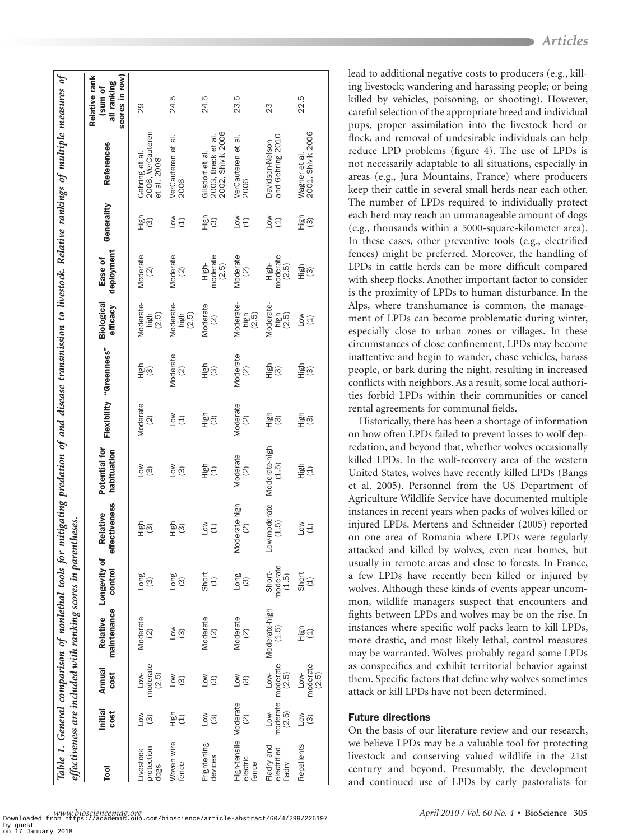|                                                |                                       |                                                                                        | Table 1. General comparison of nonlethal tools for<br>effectiveness are included with ranking scores in pare |                                            | ntheses.                               |                               |                                |                                |                            |                                |                        | mitigating predation of and disease transmission to livestock. Relative rankings of multiple measures of |                                                           |
|------------------------------------------------|---------------------------------------|----------------------------------------------------------------------------------------|--------------------------------------------------------------------------------------------------------------|--------------------------------------------|----------------------------------------|-------------------------------|--------------------------------|--------------------------------|----------------------------|--------------------------------|------------------------|----------------------------------------------------------------------------------------------------------|-----------------------------------------------------------|
| Tool                                           | Initial<br>cost                       | Annual<br><b>cost</b>                                                                  | maintenance<br>Relative                                                                                      | Longevity of<br>control                    | ffectiveness<br>Relative               | Potential for<br>habituation  | Flexibility                    | "Greenness"                    | Biological<br>efficacy     | deployment<br>Ease of          | Generality             | References                                                                                               | Relative rank<br>scores in row)<br>all ranking<br>(sum of |
| protection<br>Livestock<br>dogs                | <b>NO</b><br>$\widehat{\mathcal{O}}$  | Low-<br>moderate<br>(2.5)                                                              | Moderate<br>$\widehat{\Omega}$                                                                               | Long<br>$\widehat{\mathcal{C}}$            | 신<br>시트<br>ම                           | ŠΜ<br>ම                       | Moderate<br>$\widehat{\Omega}$ | ັງ<br>ເສື້ອງ<br>Hilf           | Moderate-<br>(2.5)<br>high | Moderate<br>$\widehat{2}$      | မှု<br>မြစ်            | 2006, VerCauteren<br>Gehring et al<br>et al. 2008                                                        | 29                                                        |
| Woven wire<br>fence                            | ਮੰਭੂ<br>ਜੰ                            | $\frac{3}{2}$                                                                          | $\frac{1}{3}$ $\frac{1}{2}$                                                                                  | $\frac{1}{3}$                              | <b>Righ</b><br>$\widehat{\mathcal{O}}$ | ŠΜ<br>$\widehat{\mathcal{O}}$ | No7<br>$\bigoplus$             | Moderate<br>$\widehat{\Omega}$ | Moderate-<br>high<br>(2.5) | Moderate<br>$\widehat{2}$      | $\geq$<br>$\bigoplus$  | VerCauteren et al.<br>2006                                                                               | 24.5                                                      |
| Frightening<br>devices                         | <b>NOT</b><br>$\widehat{\mathcal{C}}$ | ΜOΠ<br>$\widehat{\mathfrak{G}}$                                                        | Moderate<br>$\widehat{\mathfrak{Q}}$                                                                         | Short<br>$\begin{pmatrix} 1 \end{pmatrix}$ | $\sim$<br>$\bigoplus$                  | ਮੰਡੂ<br>ਜੁਹ                   | <u>နှစ်</u><br>အို             | i<br>မြစ်<br>မြစ်              | Moderate<br>$\widehat{2}$  | moderate<br>High-<br>(2.5)     | ကျော်<br>အို           | 2002, Shivik 2006<br>2003, Breck et al<br>Gilsdorf et al                                                 | 24.5                                                      |
| High-tensile Moderate<br>electric (2)<br>fence | $\widehat{\infty}$                    | <b>NOT</b><br>$\widehat{\mathcal{C}}$                                                  | Moderate<br>$\widehat{\infty}$                                                                               | $\frac{1}{3}$                              | Moderate-high<br>$\widehat{2}$         | Moderate<br>$\widehat{2}$     | Moderate<br>$\widehat{\Omega}$ | Moderate<br>$\widehat{\Omega}$ | Moderate-<br>high<br>(2.5) | Moderate<br>$\widehat{\Omega}$ | ΜOΠ<br>E)              | <b>JerCauteren</b> et al<br>2006                                                                         | 23.5                                                      |
| Fladry and<br>electrified<br>fladry            | moderate<br>$(2.5)$<br>Low-           | $\begin{array}{ll}\n & \text{Low} \\ \downarrow \text{moderate} \\ (2.5)\n\end{array}$ | Moderate-high<br>(1.5)                                                                                       | Short-<br>moderate<br>(1.5)                | Low-moderate<br>(1.5)                  | Moderate-high<br>(1.5)        | <u>နှစ်</u><br>အိ              | <u>နှစ်</u><br>အို             | Moderate-<br>high<br>(2.5) | moderate<br>High-<br>(2.5)     | NOT<br>$\widehat{\Xi}$ | and Gehring 2010<br>Davidson-Nelson                                                                      | 23                                                        |
| Repellents                                     | Low<br>$\widehat{\mathcal{O}}$        | moderate<br>(2.5)<br>Low-                                                              | ਮੰਭੂ<br>ਜ਼ਿ                                                                                                  | Short<br>$\begin{pmatrix} 1 \end{pmatrix}$ | ΜΟΠ<br>$\bigoplus$                     | ਸ਼ੂੰ<br>ਜ਼ੁਰ                  | ।<br>मूळ<br>मु                 | <u>နှစ်</u>                    | $\leq$<br>$\bigoplus$      | 도<br>신<br>도한                   | ကျော်<br>အို           | 2001, Shivik 2006<br>Nagner et al                                                                        | 22.5                                                      |

lead to additional negative costs to producers (e.g., killing livestock; wandering and harassing people; or being killed by vehicles, poisoning, or shooting). However, careful selection of the appropriate breed and individual pups, proper assimilation into the livestock herd or flock, and removal of undesirable individuals can help reduce LPD problems (figure 4). The use of LPDs is not necessarily adaptable to all situations, especially in areas (e.g., Jura Mountains, France) where producers keep their cattle in several small herds near each other. The number of LPDs required to individually protect each herd may reach an unmanageable amount of dogs (e.g., thousands within a 5000-square-kilometer area). In these cases, other preventive tools (e.g., electrified fences) might be preferred. Moreover, the handling of LPDs in cattle herds can be more difficult compared with sheep flocks. Another important factor to consider is the proximity of LPDs to human disturbance. In the Alps, where transhumance is common, the management of LPDs can become problematic during winter, especially close to urban zones or villages. In these circumstances of close confinement, LPDs may become inattentive and begin to wander, chase vehicles, harass people, or bark during the night, resulting in increased conflicts with neighbors. As a result, some local authorities forbid LPDs within their communities or cancel rental agreements for communal fields.

Historically, there has been a shortage of information on how often LPDs failed to prevent losses to wolf depredation, and beyond that, whether wolves occasionally killed LPDs. In the wolf-recovery area of the western United States, wolves have recently killed LPDs (Bangs et al. 2005). Personnel from the US Department of Agriculture Wildlife Service have documented multiple instances in recent years when packs of wolves killed or injured LPDs. Mertens and Schneider (2005) reported on one area of Romania where LPDs were regularly attacked and killed by wolves, even near homes, but usually in remote areas and close to forests. In France, a few LPDs have recently been killed or injured by wolves. Although these kinds of events appear uncommon, wildlife managers suspect that encounters and fights between LPDs and wolves may be on the rise. In instances where specific wolf packs learn to kill LPDs, more drastic, and most likely lethal, control measures may be warranted. Wolves probably regard some LPDs as conspecifics and exhibit territorial behavior against them. Specific factors that define why wolves sometimes attack or kill LPDs have not been determined.

### Future directions

On the basis of our literature review and our research, we believe LPDs may be a valuable tool for protecting livestock and conserving valued wildlife in the 21st century and beyond. Presumably, the development and continued use of LPDs by early pastoralists for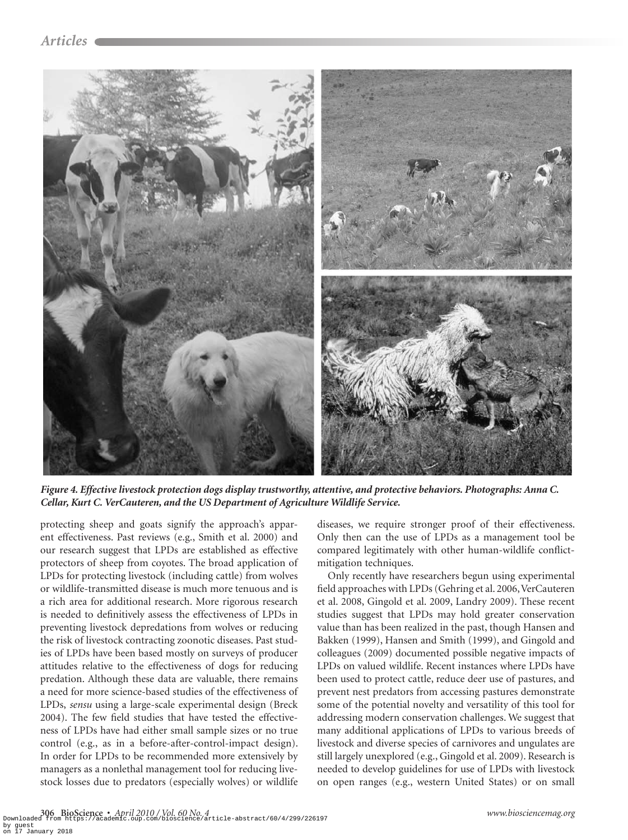

*Figure 4. Effective livestock protection dogs display trustworthy, attentive, and protective behaviors. Photographs: Anna C. Cellar, Kurt C. VerCauteren, and the US Department of Agriculture Wildlife Service.*

protecting sheep and goats signify the approach's apparent effectiveness. Past reviews (e.g., Smith et al. 2000) and our research suggest that LPDs are established as effective protectors of sheep from coyotes. The broad application of LPDs for protecting livestock (including cattle) from wolves or wildlife-transmitted disease is much more tenuous and is a rich area for additional research. More rigorous research is needed to definitively assess the effectiveness of LPDs in preventing livestock depredations from wolves or reducing the risk of livestock contracting zoonotic diseases. Past studies of LPDs have been based mostly on surveys of producer attitudes relative to the effectiveness of dogs for reducing predation. Although these data are valuable, there remains a need for more science-based studies of the effectiveness of LPDs, *sensu* using a large-scale experimental design (Breck 2004). The few field studies that have tested the effectiveness of LPDs have had either small sample sizes or no true control (e.g., as in a before-after-control-impact design). In order for LPDs to be recommended more extensively by managers as a nonlethal management tool for reducing livestock losses due to predators (especially wolves) or wildlife

diseases, we require stronger proof of their effectiveness. Only then can the use of LPDs as a management tool be compared legitimately with other human-wildlife conflictmitigation techniques.

Only recently have researchers begun using experimental field approaches with LPDs (Gehring et al. 2006, VerCauteren et al. 2008, Gingold et al. 2009, Landry 2009). These recent studies suggest that LPDs may hold greater conservation value than has been realized in the past, though Hansen and Bakken (1999), Hansen and Smith (1999), and Gingold and colleagues (2009) documented possible negative impacts of LPDs on valued wildlife. Recent instances where LPDs have been used to protect cattle, reduce deer use of pastures, and prevent nest predators from accessing pastures demonstrate some of the potential novelty and versatility of this tool for addressing modern conservation challenges. We suggest that many additional applications of LPDs to various breeds of livestock and diverse species of carnivores and ungulates are still largely unexplored (e.g., Gingold et al. 2009). Research is needed to develop guidelines for use of LPDs with livestock on open ranges (e.g., western United States) or on small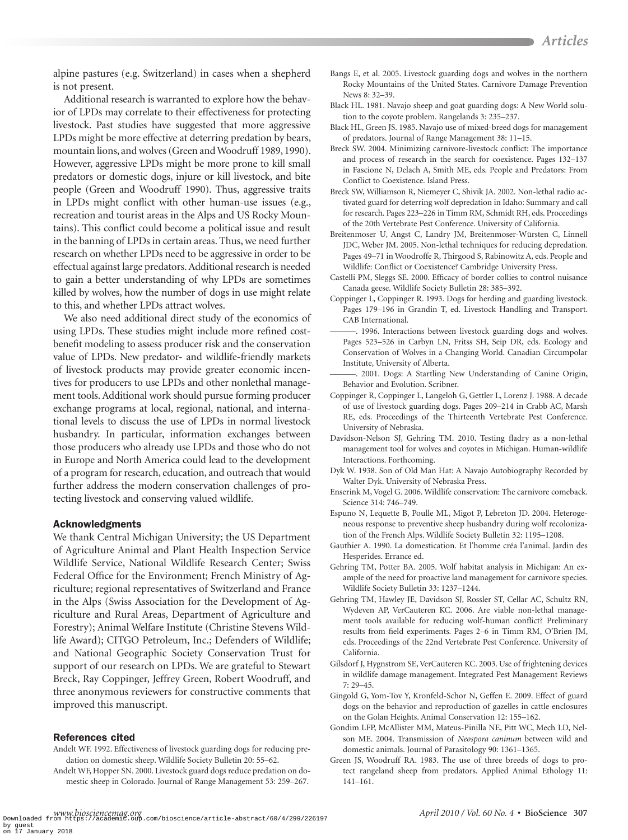alpine pastures (e.g. Switzerland) in cases when a shepherd is not present.

Additional research is warranted to explore how the behavior of LPDs may correlate to their effectiveness for protecting livestock. Past studies have suggested that more aggressive LPDs might be more effective at deterring predation by bears, mountain lions, and wolves (Green and Woodruff 1989, 1990). However, aggressive LPDs might be more prone to kill small predators or domestic dogs, injure or kill livestock, and bite people (Green and Woodruff 1990). Thus, aggressive traits in LPDs might conflict with other human-use issues (e.g., recreation and tourist areas in the Alps and US Rocky Mountains). This conflict could become a political issue and result in the banning of LPDs in certain areas. Thus, we need further research on whether LPDs need to be aggressive in order to be effectual against large predators. Additional research is needed to gain a better understanding of why LPDs are sometimes killed by wolves, how the number of dogs in use might relate to this, and whether LPDs attract wolves.

We also need additional direct study of the economics of using LPDs. These studies might include more refined costbenefit modeling to assess producer risk and the conservation value of LPDs. New predator- and wildlife-friendly markets of livestock products may provide greater economic incentives for producers to use LPDs and other nonlethal management tools. Additional work should pursue forming producer exchange programs at local, regional, national, and international levels to discuss the use of LPDs in normal livestock husbandry. In particular, information exchanges between those producers who already use LPDs and those who do not in Europe and North America could lead to the development of a program for research, education, and outreach that would further address the modern conservation challenges of protecting livestock and conserving valued wildlife.

#### Acknowledgments

We thank Central Michigan University; the US Department of Agriculture Animal and Plant Health Inspection Service Wildlife Service, National Wildlife Research Center; Swiss Federal Office for the Environment; French Ministry of Agriculture; regional representatives of Switzerland and France in the Alps (Swiss Association for the Development of Agriculture and Rural Areas, Department of Agriculture and Forestry); Animal Welfare Institute (Christine Stevens Wildlife Award); CITGO Petroleum, Inc.; Defenders of Wildlife; and National Geographic Society Conservation Trust for support of our research on LPDs. We are grateful to Stewart Breck, Ray Coppinger, Jeffrey Green, Robert Woodruff, and three anonymous reviewers for constructive comments that improved this manuscript.

#### References cited

- Andelt WF. 1992. Effectiveness of livestock guarding dogs for reducing predation on domestic sheep. Wildlife Society Bulletin 20: 55–62.
- Andelt WF, Hopper SN. 2000. Livestock guard dogs reduce predation on domestic sheep in Colorado. Journal of Range Management 53: 259–267.
- Bangs E, et al. 2005. Livestock guarding dogs and wolves in the northern Rocky Mountains of the United States. Carnivore Damage Prevention News 8: 32–39.
- Black HL. 1981. Navajo sheep and goat guarding dogs: A New World solution to the coyote problem. Rangelands 3: 235–237.
- Black HL, Green JS. 1985. Navajo use of mixed-breed dogs for management of predators. Journal of Range Management 38: 11–15.
- Breck SW. 2004. Minimizing carnivore-livestock conflict: The importance and process of research in the search for coexistence. Pages 132–137 in Fascione N, Delach A, Smith ME, eds. People and Predators: From Conflict to Coexistence. Island Press.
- Breck SW, Williamson R, Niemeyer C, Shivik JA. 2002. Non-lethal radio activated guard for deterring wolf depredation in Idaho: Summary and call for research. Pages 223–226 in Timm RM, Schmidt RH, eds. Proceedings of the 20th Vertebrate Pest Conference. University of California.
- Breitenmoser U, Angst C, Landry JM, Breitenmoser-Würsten C, Linnell JDC, Weber JM. 2005. Non-lethal techniques for reducing depredation. Pages 49–71 in Woodroffe R, Thirgood S, Rabinowitz A, eds. People and Wildlife: Conflict or Coexistence? Cambridge University Press.
- Castelli PM, Sleggs SE. 2000. Efficacy of border collies to control nuisance Canada geese. Wildlife Society Bulletin 28: 385–392.
- Coppinger L, Coppinger R. 1993. Dogs for herding and guarding livestock. Pages 179–196 in Grandin T, ed. Livestock Handling and Transport. CAB International.
- -. 1996. Interactions between livestock guarding dogs and wolves. Pages 523–526 in Carbyn LN, Fritss SH, Seip DR, eds. Ecology and Conservation of Wolves in a Changing World. Canadian Circumpolar Institute, University of Alberta.
- 2001. Dogs: A Startling New Understanding of Canine Origin, Behavior and Evolution. Scribner.
- Coppinger R, Coppinger L, Langeloh G, Gettler L, Lorenz J. 1988. A decade of use of livestock guarding dogs. Pages 209–214 in Crabb AC, Marsh RE, eds. Proceedings of the Thirteenth Vertebrate Pest Conference. University of Nebraska.
- Davidson-Nelson SJ, Gehring TM. 2010. Testing fladry as a non-lethal management tool for wolves and coyotes in Michigan. Human-wildlife Interactions. Forthcoming.
- Dyk W. 1938. Son of Old Man Hat: A Navajo Autobiography Recorded by Walter Dyk. University of Nebraska Press.
- Enserink M, Vogel G. 2006. Wildlife conservation: The carnivore comeback. Science 314: 746–749.
- Espuno N, Lequette B, Poulle ML, Migot P, Lebreton JD. 2004. Heterogeneous response to preventive sheep husbandry during wolf recolonization of the French Alps. Wildlife Society Bulletin 32: 1195–1208.
- Gauthier A. 1990. La domestication. Et l'homme créa l'animal. Jardin des Hesperides. Errance ed.
- Gehring TM, Potter BA. 2005. Wolf habitat analysis in Michigan: An example of the need for proactive land management for carnivore species. Wildlife Society Bulletin 33: 1237–1244.
- Gehring TM, Hawley JE, Davidson SJ, Rossler ST, Cellar AC, Schultz RN, Wydeven AP, VerCauteren KC. 2006. Are viable non-lethal management tools available for reducing wolf-human conflict? Preliminary results from field experiments. Pages 2–6 in Timm RM, O'Brien JM, eds. Proceedings of the 22nd Vertebrate Pest Conference. University of California.
- Gilsdorf J, Hygnstrom SE, VerCauteren KC. 2003. Use of frightening devices in wildlife damage management. Integrated Pest Management Reviews 7: 29–45.
- Gingold G, Yom-Tov Y, Kronfeld-Schor N, Geffen E. 2009. Effect of guard dogs on the behavior and reproduction of gazelles in cattle enclosures on the Golan Heights. Animal Conservation 12: 155–162.
- Gondim LFP, McAllister MM, Mateus-Pinilla NE, Pitt WC, Mech LD, Nelson ME. 2004. Transmission of *Neospora caninum* between wild and domestic animals. Journal of Parasitology 90: 1361–1365.
- Green JS, Woodruff RA. 1983. The use of three breeds of dogs to protect rangeland sheep from predators. Applied Animal Ethology 11: 141–161.